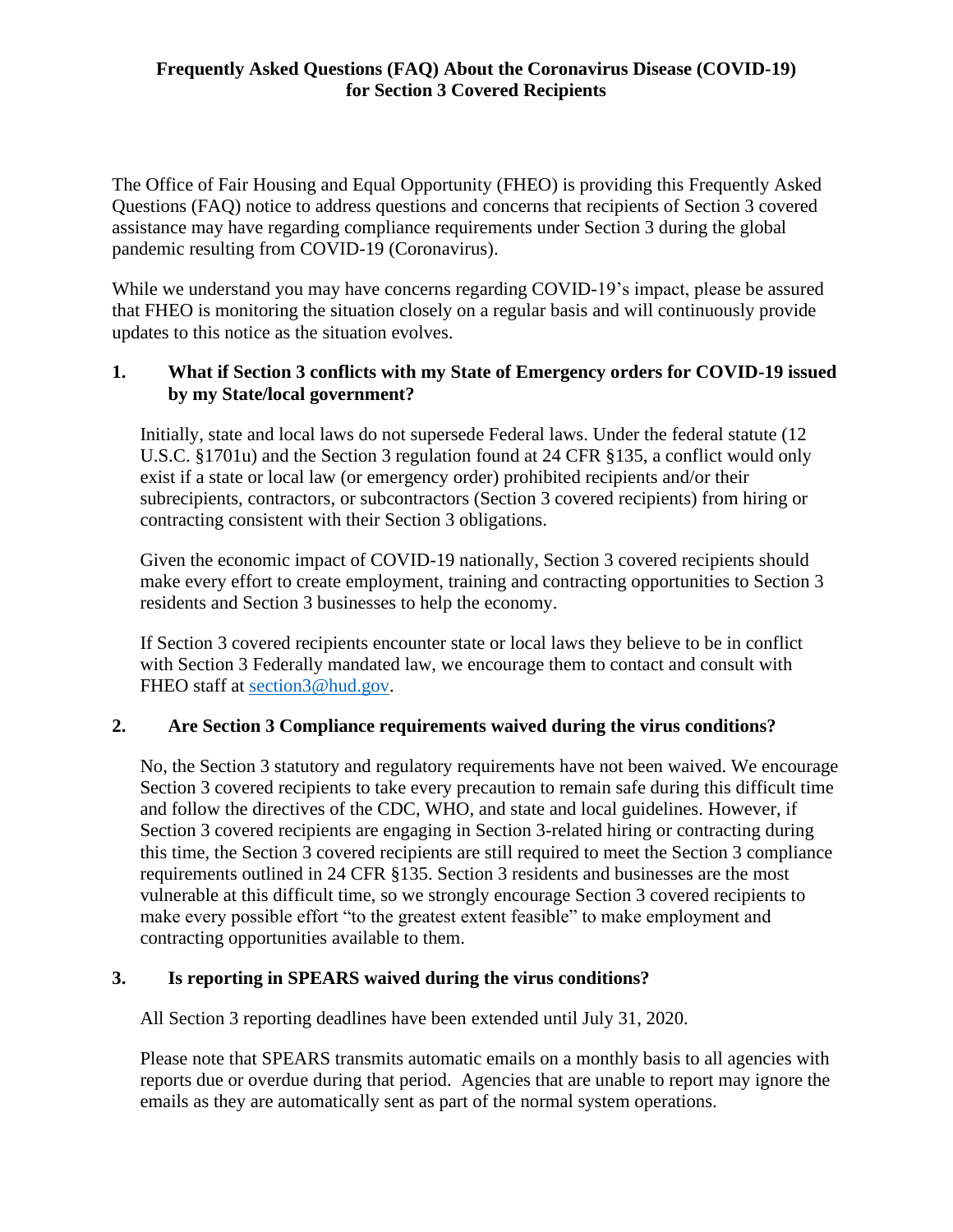# **Frequently Asked Questions (FAQ) About the Coronavirus Disease (COVID-19) for Section 3 Covered Recipients**

The Office of Fair Housing and Equal Opportunity (FHEO) is providing this Frequently Asked Questions (FAQ) notice to address questions and concerns that recipients of Section 3 covered assistance may have regarding compliance requirements under Section 3 during the global pandemic resulting from COVID-19 (Coronavirus).

While we understand you may have concerns regarding COVID-19's impact, please be assured that FHEO is monitoring the situation closely on a regular basis and will continuously provide updates to this notice as the situation evolves.

### **1. What if Section 3 conflicts with my State of Emergency orders for COVID-19 issued by my State/local government?**

Initially, state and local laws do not supersede Federal laws. Under the federal statute (12 U.S.C. §1701u) and the Section 3 regulation found at 24 CFR §135, a conflict would only exist if a state or local law (or emergency order) prohibited recipients and/or their subrecipients, contractors, or subcontractors (Section 3 covered recipients) from hiring or contracting consistent with their Section 3 obligations.

Given the economic impact of COVID-19 nationally, Section 3 covered recipients should make every effort to create employment, training and contracting opportunities to Section 3 residents and Section 3 businesses to help the economy.

If Section 3 covered recipients encounter state or local laws they believe to be in conflict with Section 3 Federally mandated law, we encourage them to contact and consult with FHEO staff at [section3@hud.gov.](mailto:section3@hud.gov)

## **2. Are Section 3 Compliance requirements waived during the virus conditions?**

No, the Section 3 statutory and regulatory requirements have not been waived. We encourage Section 3 covered recipients to take every precaution to remain safe during this difficult time and follow the directives of the CDC, WHO, and state and local guidelines. However, if Section 3 covered recipients are engaging in Section 3-related hiring or contracting during this time, the Section 3 covered recipients are still required to meet the Section 3 compliance requirements outlined in 24 CFR §135. Section 3 residents and businesses are the most vulnerable at this difficult time, so we strongly encourage Section 3 covered recipients to make every possible effort "to the greatest extent feasible" to make employment and contracting opportunities available to them.

#### **3. Is reporting in SPEARS waived during the virus conditions?**

All Section 3 reporting deadlines have been extended until July 31, 2020.

Please note that SPEARS transmits automatic emails on a monthly basis to all agencies with reports due or overdue during that period. Agencies that are unable to report may ignore the emails as they are automatically sent as part of the normal system operations.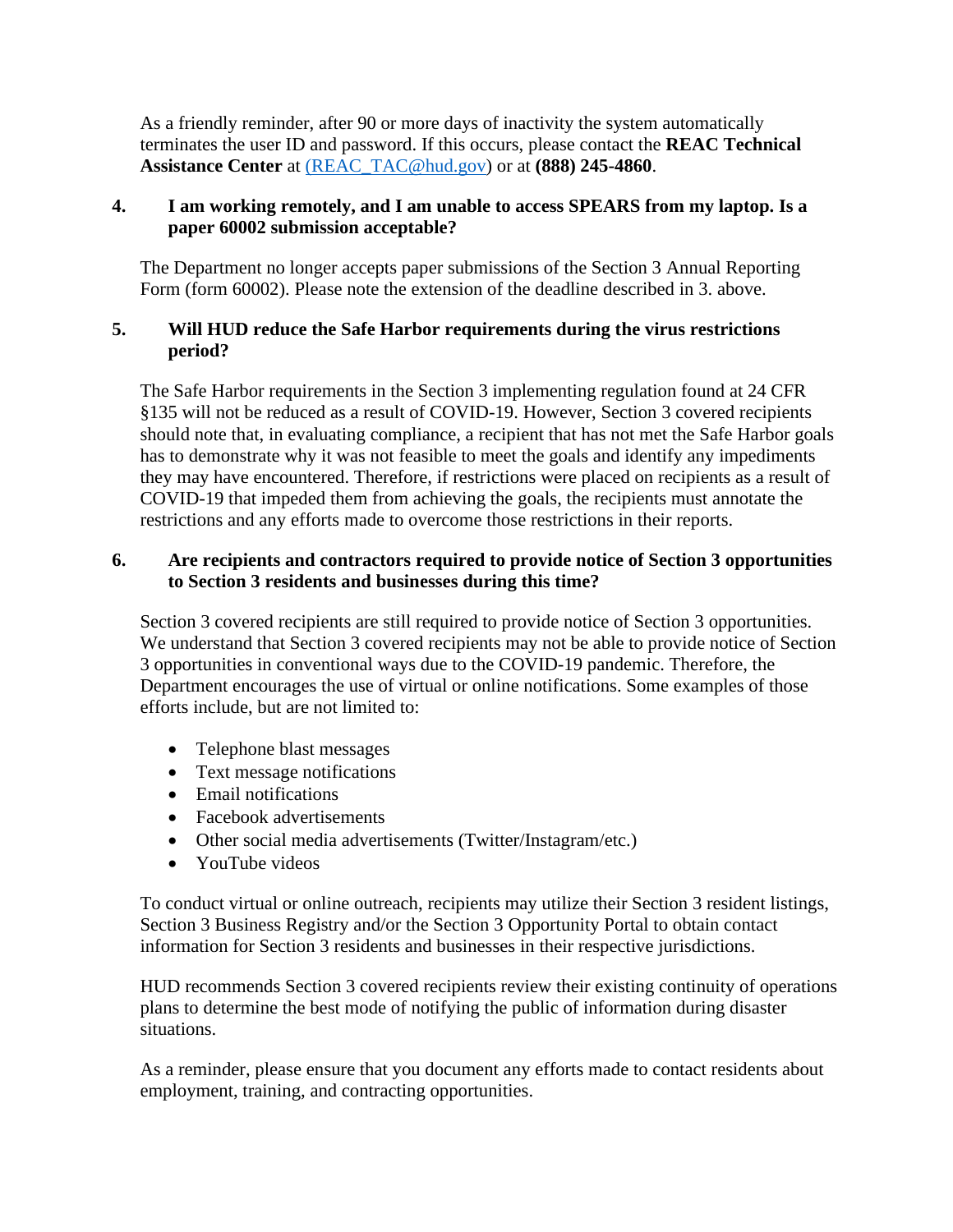As a friendly reminder, after 90 or more days of inactivity the system automatically terminates the user ID and password. If this occurs, please contact the **REAC Technical Assistance Center** at [\(REAC\\_TAC@hud.gov\)](mailto:REAC_TAC@hud.gov) or at **(888) 245-4860**.

### **4. I am working remotely, and I am unable to access SPEARS from my laptop. Is a paper 60002 submission acceptable?**

The Department no longer accepts paper submissions of the Section 3 Annual Reporting Form (form 60002). Please note the extension of the deadline described in 3. above.

## **5. Will HUD reduce the Safe Harbor requirements during the virus restrictions period?**

The Safe Harbor requirements in the Section 3 implementing regulation found at 24 CFR §135 will not be reduced as a result of COVID-19. However, Section 3 covered recipients should note that, in evaluating compliance, a recipient that has not met the Safe Harbor goals has to demonstrate why it was not feasible to meet the goals and identify any impediments they may have encountered. Therefore, if restrictions were placed on recipients as a result of COVID-19 that impeded them from achieving the goals, the recipients must annotate the restrictions and any efforts made to overcome those restrictions in their reports.

## **6. Are recipients and contractors required to provide notice of Section 3 opportunities to Section 3 residents and businesses during this time?**

Section 3 covered recipients are still required to provide notice of Section 3 opportunities. We understand that Section 3 covered recipients may not be able to provide notice of Section 3 opportunities in conventional ways due to the COVID-19 pandemic. Therefore, the Department encourages the use of virtual or online notifications. Some examples of those efforts include, but are not limited to:

- Telephone blast messages
- Text message notifications
- Email notifications
- Facebook advertisements
- Other social media advertisements (Twitter/Instagram/etc.)
- YouTube videos

To conduct virtual or online outreach, recipients may utilize their Section 3 resident listings, Section 3 Business Registry and/or the Section 3 Opportunity Portal to obtain contact information for Section 3 residents and businesses in their respective jurisdictions.

HUD recommends Section 3 covered recipients review their existing continuity of operations plans to determine the best mode of notifying the public of information during disaster situations.

As a reminder, please ensure that you document any efforts made to contact residents about employment, training, and contracting opportunities.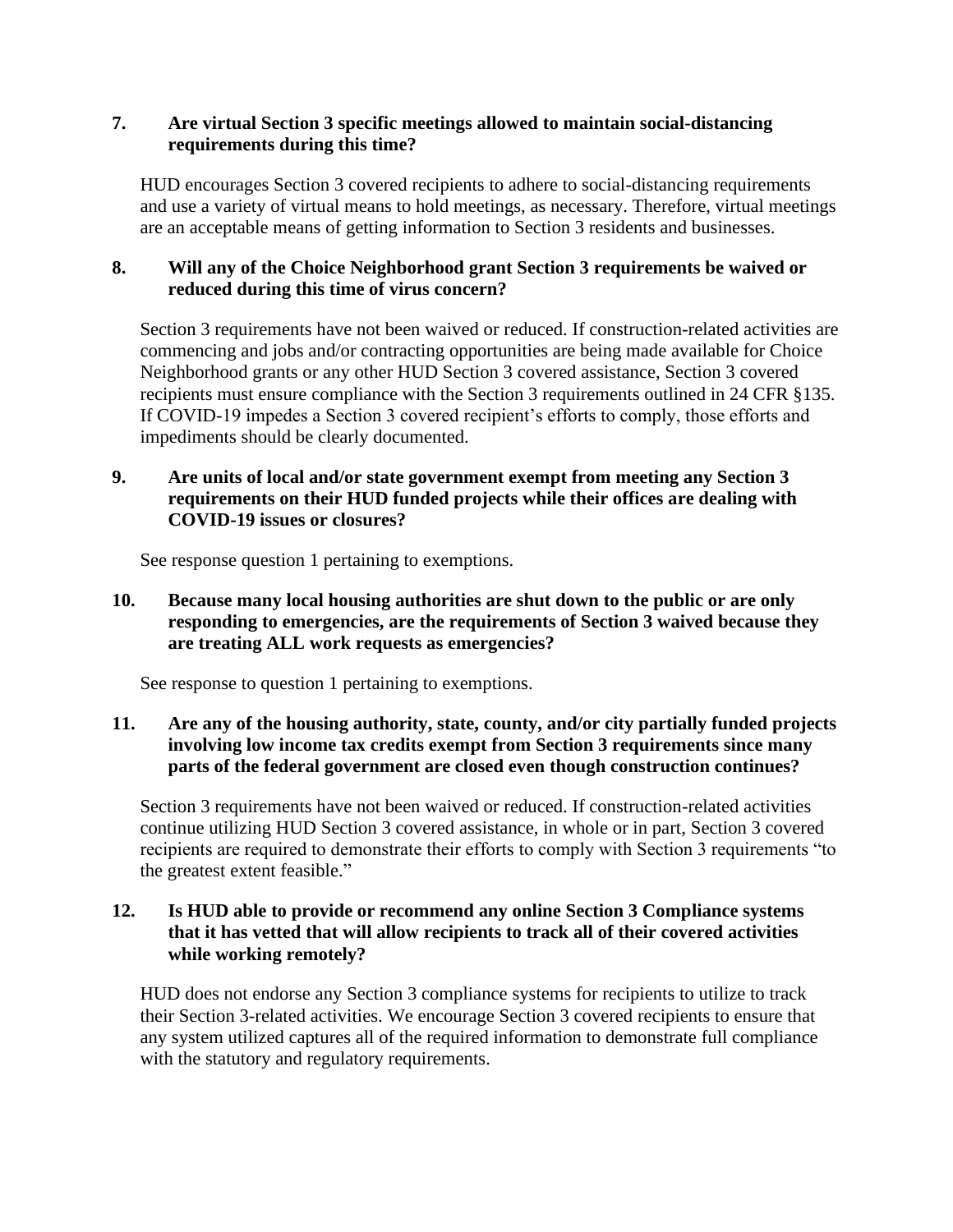### **7. Are virtual Section 3 specific meetings allowed to maintain social-distancing requirements during this time?**

HUD encourages Section 3 covered recipients to adhere to social-distancing requirements and use a variety of virtual means to hold meetings, as necessary. Therefore, virtual meetings are an acceptable means of getting information to Section 3 residents and businesses.

### **8. Will any of the Choice Neighborhood grant Section 3 requirements be waived or reduced during this time of virus concern?**

Section 3 requirements have not been waived or reduced. If construction-related activities are commencing and jobs and/or contracting opportunities are being made available for Choice Neighborhood grants or any other HUD Section 3 covered assistance, Section 3 covered recipients must ensure compliance with the Section 3 requirements outlined in 24 CFR §135. If COVID-19 impedes a Section 3 covered recipient's efforts to comply, those efforts and impediments should be clearly documented.

### **9. Are units of local and/or state government exempt from meeting any Section 3 requirements on their HUD funded projects while their offices are dealing with COVID-19 issues or closures?**

See response question 1 pertaining to exemptions.

### **10. Because many local housing authorities are shut down to the public or are only responding to emergencies, are the requirements of Section 3 waived because they are treating ALL work requests as emergencies?**

See response to question 1 pertaining to exemptions.

## **11. Are any of the housing authority, state, county, and/or city partially funded projects involving low income tax credits exempt from Section 3 requirements since many parts of the federal government are closed even though construction continues?**

Section 3 requirements have not been waived or reduced. If construction-related activities continue utilizing HUD Section 3 covered assistance, in whole or in part, Section 3 covered recipients are required to demonstrate their efforts to comply with Section 3 requirements "to the greatest extent feasible."

## **12. Is HUD able to provide or recommend any online Section 3 Compliance systems that it has vetted that will allow recipients to track all of their covered activities while working remotely?**

HUD does not endorse any Section 3 compliance systems for recipients to utilize to track their Section 3-related activities. We encourage Section 3 covered recipients to ensure that any system utilized captures all of the required information to demonstrate full compliance with the statutory and regulatory requirements.